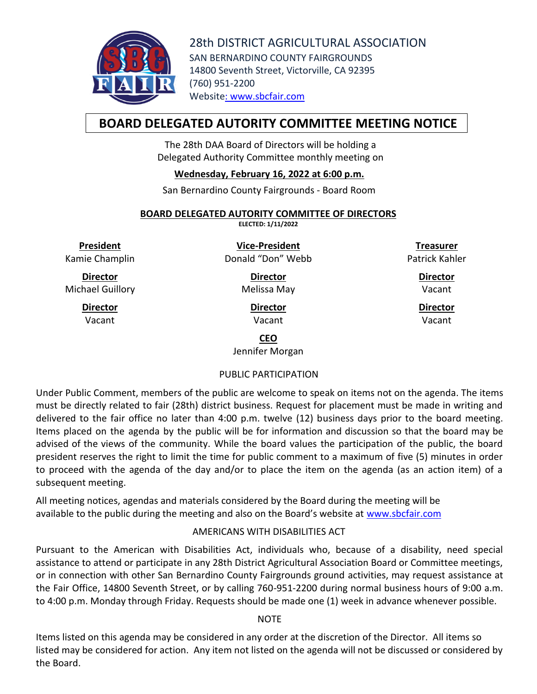

28th DISTRICT AGRICULTURAL ASSOCIATION SAN BERNARDINO COUNTY FAIRGROUNDS 14800 Seventh Street, Victorville, CA 92395 (760) 951-2200 Website: [www.sbcfair.com](http://www.sbcfair.com/)

# **BOARD DELEGATED AUTORITY COMMITTEE MEETING NOTICE**

The 28th DAA Board of Directors will be holding a Delegated Authority Committee monthly meeting on

## **Wednesday, February 16, 2022 at 6:00 p.m.**

San Bernardino County Fairgrounds - Board Room

#### **BOARD DELEGATED AUTORITY COMMITTEE OF DIRECTORS**

**ELECTED: 1/11/2022**

**President** Kamie Champlin

**Director** Michael Guillory

> **Director** Vacant

**Vice-President** Donald "Don" Webb

> **Director** Melissa May

> > **Director** Vacant

**Treasurer** Patrick Kahler

> **Director** Vacant

**Director** Vacant

## **CEO**

Jennifer Morgan

## PUBLIC PARTICIPATION

Under Public Comment, members of the public are welcome to speak on items not on the agenda. The items must be directly related to fair (28th) district business. Request for placement must be made in writing and delivered to the fair office no later than 4:00 p.m. twelve (12) business days prior to the board meeting. Items placed on the agenda by the public will be for information and discussion so that the board may be advised of the views of the community. While the board values the participation of the public, the board president reserves the right to limit the time for public comment to a maximum of five (5) minutes in order to proceed with the agenda of the day and/or to place the item on the agenda (as an action item) of a subsequent meeting.

All meeting notices, agendas and materials considered by the Board during the meeting will be available to the public during the meeting and also on the Board's website at [www.sbcfair.com](http://www.sbcfair.com/)

## AMERICANS WITH DISABILITIES ACT

Pursuant to the American with Disabilities Act, individuals who, because of a disability, need special assistance to attend or participate in any 28th District Agricultural Association Board or Committee meetings, or in connection with other San Bernardino County Fairgrounds ground activities, may request assistance at the Fair Office, 14800 Seventh Street, or by calling 760-951-2200 during normal business hours of 9:00 a.m. to 4:00 p.m. Monday through Friday. Requests should be made one (1) week in advance whenever possible.

## **NOTE**

Items listed on this agenda may be considered in any order at the discretion of the Director. All items so listed may be considered for action. Any item not listed on the agenda will not be discussed or considered by the Board.